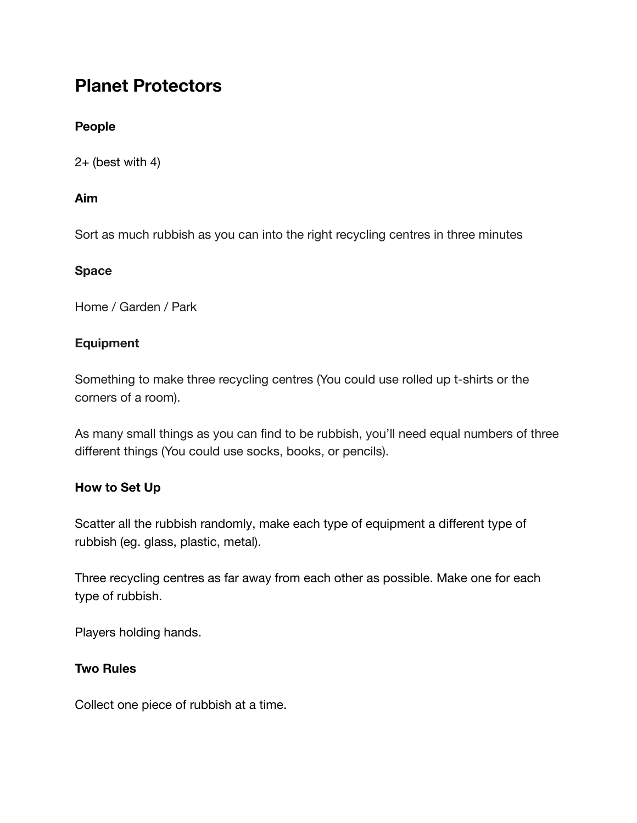# **Planet Protectors**

## **People**

 $2+$  (best with 4)

## **Aim**

Sort as much rubbish as you can into the right recycling centres in three minutes

#### **Space**

Home / Garden / Park

## **Equipment**

Something to make three recycling centres (You could use rolled up t-shirts or the corners of a room).

As many small things as you can find to be rubbish, you'll need equal numbers of three different things (You could use socks, books, or pencils).

## **How to Set Up**

Scatter all the rubbish randomly, make each type of equipment a different type of rubbish (eg. glass, plastic, metal).

Three recycling centres as far away from each other as possible. Make one for each type of rubbish.

Players holding hands.

## **Two Rules**

Collect one piece of rubbish at a time.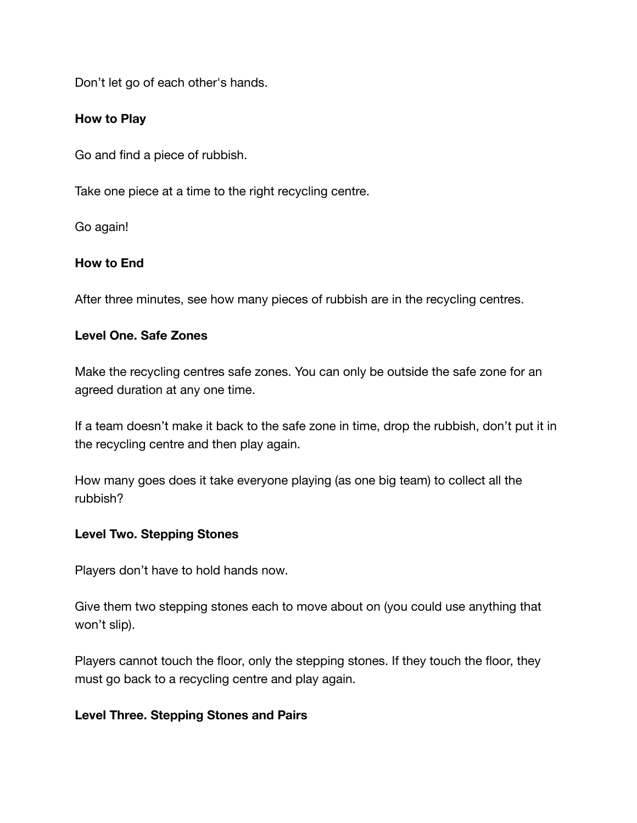Don't let go of each other's hands.

## **How to Play**

Go and find a piece of rubbish.

Take one piece at a time to the right recycling centre.

Go again!

#### **How to End**

After three minutes, see how many pieces of rubbish are in the recycling centres.

#### **Level One. Safe Zones**

Make the recycling centres safe zones. You can only be outside the safe zone for an agreed duration at any one time.

If a team doesn't make it back to the safe zone in time, drop the rubbish, don't put it in the recycling centre and then play again.

How many goes does it take everyone playing (as one big team) to collect all the rubbish?

#### **Level Two. Stepping Stones**

Players don't have to hold hands now.

Give them two stepping stones each to move about on (you could use anything that won't slip).

Players cannot touch the floor, only the stepping stones. If they touch the floor, they must go back to a recycling centre and play again.

#### **Level Three. Stepping Stones and Pairs**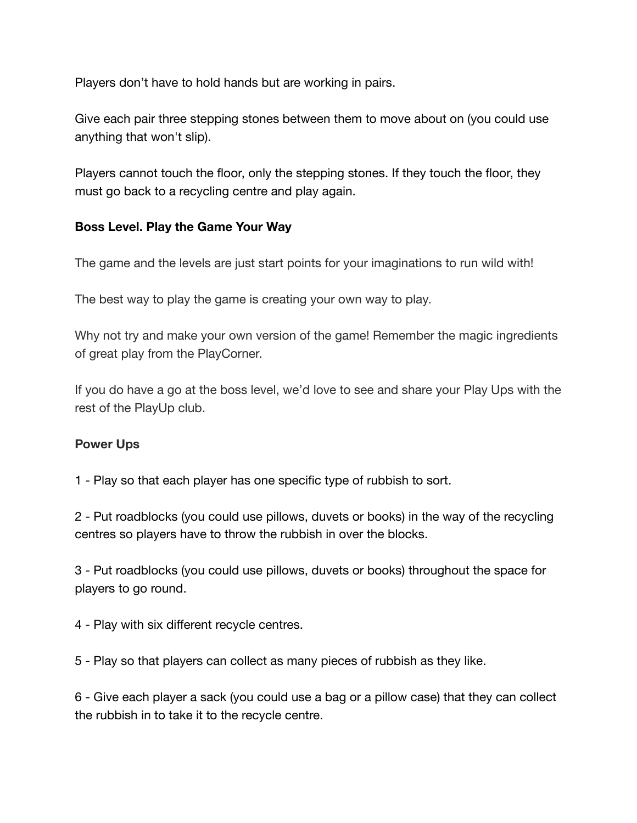Players don't have to hold hands but are working in pairs.

Give each pair three stepping stones between them to move about on (you could use anything that won't slip).

Players cannot touch the floor, only the stepping stones. If they touch the floor, they must go back to a recycling centre and play again.

## **Boss Level. Play the Game Your Way**

The game and the levels are just start points for your imaginations to run wild with!

The best way to play the game is creating your own way to play.

Why not try and make your own version of the game! Remember the magic ingredients of great play from the PlayCorner.

If you do have a go at the boss level, we'd love to see and share your Play Ups with the rest of the PlayUp club.

#### **Power Ups**

1 - Play so that each player has one specific type of rubbish to sort.

2 - Put roadblocks (you could use pillows, duvets or books) in the way of the recycling centres so players have to throw the rubbish in over the blocks.

3 - Put roadblocks (you could use pillows, duvets or books) throughout the space for players to go round.

4 - Play with six different recycle centres.

5 - Play so that players can collect as many pieces of rubbish as they like.

6 - Give each player a sack (you could use a bag or a pillow case) that they can collect the rubbish in to take it to the recycle centre.